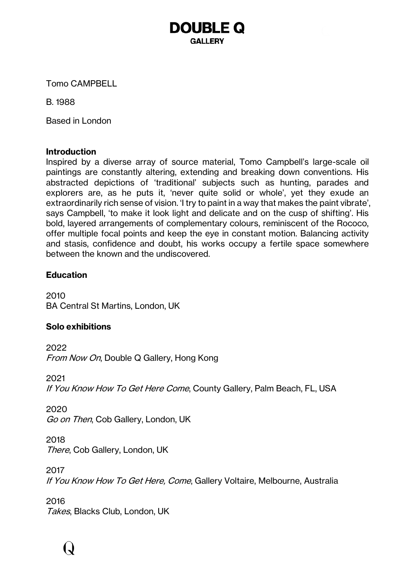**GALLERY** 

**DOUBLE Q** 

Tomo CAMPBELL

B. 1988

Based in London

#### **Introduction**

Inspired by a diverse array of source material, Tomo Campbell's large-scale oil paintings are constantly altering, extending and breaking down conventions. His abstracted depictions of 'traditional' subjects such as hunting, parades and explorers are, as he puts it, 'never quite solid or whole', yet they exude an extraordinarily rich sense of vision. 'I try to paint in a way that makes the paint vibrate', says Campbell, 'to make it look light and delicate and on the cusp of shifting'. His bold, layered arrangements of complementary colours, reminiscent of the Rococo, offer multiple focal points and keep the eye in constant motion. Balancing activity and stasis, confidence and doubt, his works occupy a fertile space somewhere between the known and the undiscovered.

#### **Education**

2010 BA Central St Martins, London, UK

#### **Solo exhibitions**

2022 From Now On, Double Q Gallery, Hong Kong

2021 If You Know How To Get Here Come, County Gallery, Palm Beach, FL, USA

2020 Go on Then, Cob Gallery, London, UK

2018 There, Cob Gallery, London, UK

2017 If You Know How To Get Here, Come, Gallery Voltaire, Melbourne, Australia

2016 Takes, Blacks Club, London, UK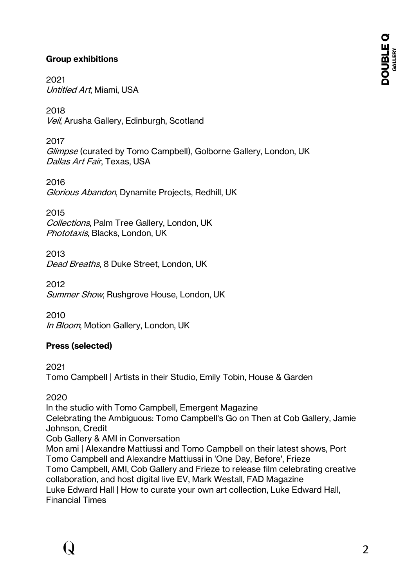### **Group exhibitions**

2021 Untitled Art, Miami, USA

2018 Veil, Arusha Gallery, Edinburgh, Scotland

2017 Glimpse (curated by Tomo Campbell), Golborne Gallery, London, UK Dallas Art Fair, Texas, USA

2016 Glorious Abandon, Dynamite Projects, Redhill, UK

2015 Collections, Palm Tree Gallery, London, UK Phototaxis, Blacks, London, UK

2013 Dead Breaths, 8 Duke Street, London, UK

2012 Summer Show, Rushgrove House, London, UK

2010 In Bloom, Motion Gallery, London, UK

# **Press (selected)**

2021 Tomo Campbell | Artists in their Studio, Emily Tobin, House & Garden

2020

In the studio with Tomo Campbell, Emergent Magazine Celebrating the Ambiguous: Tomo Campbell's Go on Then at Cob Gallery, Jamie Johnson, Credit Cob Gallery & AMI in Conversation Mon ami | Alexandre Mattiussi and Tomo Campbell on their latest shows, Port Tomo Campbell and Alexandre Mattiussi in 'One Day, Before', Frieze Tomo Campbell, AMI, Cob Gallery and Frieze to release film celebrating creative collaboration, and host digital live EV, Mark Westall, FAD Magazine Luke Edward Hall | How to curate your own art collection, Luke Edward Hall, Financial Times